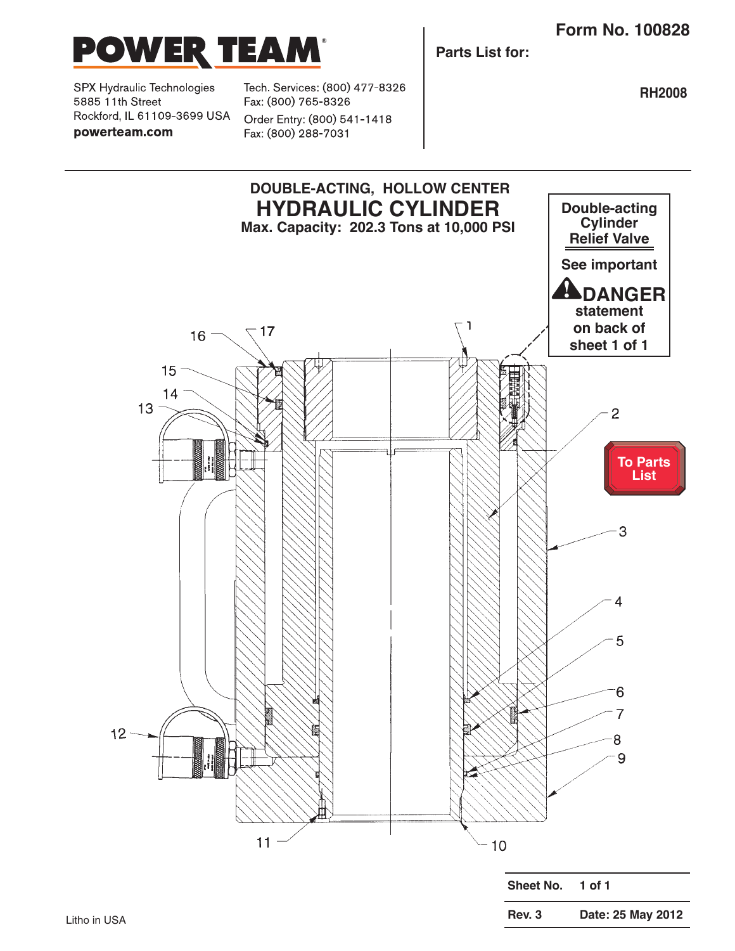**Rev. 3 Date: 25 May 2012**



SPX Hydraulic Technologies 5885 11th Street Rockford, IL 61109-3699 USA powerteam.com

Tech. Services: (800) 477-8326 Fax: (800) 765-8326

Order Entry: (800) 541-1418 Fax: (800) 288-7031

**Parts List for:**

**RH2008**